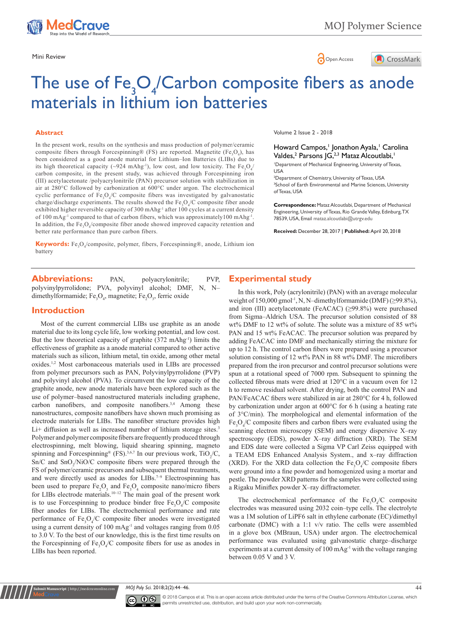

Mini Review **Open Access** 



# The use of  $Fe<sub>3</sub>O<sub>4</sub>/Carbon composite fibers as anode$ materials in lithium ion batteries

#### **Abstract**

In the present work, results on the synthesis and mass production of polymer/ceramic composite fibers through Forcespinning® (FS) are reported. Magnetite (Fe<sub>3</sub>O<sub>4</sub>), has been considered as a good anode material for Lithium–Ion Batteries (LIBs) due to its high theoretical capacity (~924 mAhg<sup>-1</sup>), low cost, and low toxicity. The  $Fe<sub>3</sub>O<sub>4</sub>$ carbon composite, in the present study, was achieved through Forcespinning iron (III) acetylacetonate /polyacrylonitrile (PAN) precursor solution with stabilization in air at 280°C followed by carbonization at 600°C under argon. The electrochemical cyclic performance of  $Fe<sub>3</sub>O<sub>4</sub>/C$  composite fibers was investigated by galvanostatic charge/discharge experiments. The results showed the  $Fe<sub>3</sub>O<sub>4</sub>/C$  composite fiber anode exhibited higher reversible capacity of 300 mAhg<sup>-1</sup> after 100 cycles at a current density of 100 mAg<sup>-1</sup> compared to that of carbon fibers, which was approximately100 mAhg<sup>-1</sup>. In addition, the  $Fe<sub>3</sub>O<sub>4</sub>$ /composite fiber anode showed improved capacity retention and better rate performance than pure carbon fibers.

**Keywords:** Fe<sub>3</sub>O<sub>4</sub>/composite, polymer, fibers, Forcespinning®, anode, Lithium ion battery

Abbreviations: PAN, polyacrylonitrile; PVP, polyvinylpyrrolidone; PVA, polyvinyl alcohol; DMF, N, Ndimethylformamide;  $Fe<sub>3</sub>O<sub>4</sub>$ , magnetite;  $Fe<sub>2</sub>O<sub>3</sub>$ , ferric oxide

### **Introduction**

**Kubmit Manuscript** | http://medcraveonlin

Most of the current commercial LIBs use graphite as an anode material due to its long cycle life, low working potential, and low cost. But the low theoretical capacity of graphite (372 mAhg-1) limits the effectiveness of graphite as a anode material compared to other active materials such as silicon, lithium metal, tin oxide, among other metal oxides.1,2 Most carbonaceous materials used in LIBs are processed from polymer precursors such as PAN, Polyvinylpyrrolidone (PVP) and polyvinyl alcohol (PVA). To circumvent the low capacity of the graphite anode, new anode materials have been explored such as the use of polymer-based nanostructured materials including graphene, carbon nanofibers, and composite nanofibers.<sup>3,4</sup> Among these nanostructures, composite nanofibers have shown much promising as electrode materials for LIBs. The nanofiber structure provides high Li+ diffusion as well as increased number of lithium storage sites.<sup>3</sup> Polymer and polymer composite fibers are frequently produced through electrospinning, melt blowing, liquid shearing spinning, magneto spinning and Forcespinning<sup>®</sup> (FS).<sup>3,6,7</sup> In our previous work, TiO<sub>2</sub>/C,  $Sn/C$  and  $SnO_2/NIO/C$  composite fibers were prepared through the FS of polymer/ceramic precursors and subsequent thermal treatments, and were directly used as anodes for  $LIBs.^{7-9}$  Electrospinning has been used to prepare  $Fe<sub>2</sub>O<sub>3</sub>$  and  $Fe<sub>3</sub>O<sub>4</sub>$  composite nano/micro fibers for LIBs electrode materials.<sup>10-12</sup> The main goal of the present work is to use Forcespinning to produce binder free  $Fe<sub>3</sub>O<sub>4</sub>/C$  composite fiber anodes for LIBs. The electrochemical performance and rate performance of  $Fe<sub>3</sub>O<sub>4</sub>/C$  composite fiber anodes were investigated using a current density of 100 mAg-1 and voltages ranging from 0.05 to 3.0 V. To the best of our knowledge, this is the first time results on the Forcespinning of  $Fe<sub>3</sub>O<sub>4</sub>/C$  composite fibers for use as anodes in LIBs has been reported.

Volume 2 Issue 2 - 2018

Howard Campos,<sup>1</sup> Jonathon Ayala,<sup>1</sup> Carolina Valdes,<sup>2</sup> Parsons JG,<sup>2,3</sup> Mataz Alcoutlabi,<sup>1</sup>

1 Department of Mechanical Engineering, University of Texas, USA

2 Department of Chemistry, University of Texas, USA 3 School of Earth Environmental and Marine Sciences, University of Texas, USA

**Correspondence:** Mataz Alcoutlabi, Department of Mechanical Engineering, University of Texas, Rio Grande Valley, Edinburg, TX 78539, USA, Email mataz.alcoutlabi@utrgv.edu

**Received:** December 28, 2017 | **Published:** April 20, 2018

# **Experimental study**

In this work, Poly (acrylonitrile) (PAN) with an average molecular weight of 150,000 gmol<sup>-1</sup>, N, N-dimethylformamide (DMF) ( $\geq$ 99.8%), and iron (III) acetylacetonate (FeACAC) (≥99.8%) were purchased from Sigma-Aldrich USA. The precursor solution consisted of 88 wt% DMF to 12 wt% of solute. The solute was a mixture of 85 wt% PAN and 15 wt% FeACAC. The precursor solution was prepared by adding FeACAC into DMF and mechanically stirring the mixture for up to 12 h. The control carbon fibers were prepared using a precursor solution consisting of 12 wt% PAN in 88 wt% DMF. The microfibers prepared from the iron precursor and control precursor solutions were spun at a rotational speed of 7000 rpm. Subsequent to spinning the collected fibrous mats were dried at 120°C in a vacuum oven for 12 h to remove residual solvent. After drying, both the control PAN and PAN/FeACAC fibers were stabilized in air at 280°C for 4 h, followed by carbonization under argon at 600°C for 6 h (using a heating rate of 3°C/min). The morphological and elemental information of the  $Fe<sub>3</sub>O<sub>4</sub>/C$  composite fibers and carbon fibers were evaluated using the scanning electron microscopy (SEM) and energy dispersive X-ray spectroscopy (EDS), powder X-ray diffraction (XRD). The SEM and EDS date were collected a Sigma VP Carl Zeiss equipped with a TEAM EDS Enhanced Analysis System., and x-ray diffraction (XRD). For the XRD data collection the  $Fe<sub>3</sub>O<sub>4</sub>/C$  composite fibers were ground into a fine powder and homogenized using a mortar and pestle. The powder XRD patterns for the samples were collected using a Rigaku Miniflex powder X-ray diffractometer.

The electrochemical performance of the  $Fe<sub>3</sub>O<sub>4</sub>/C$  composite electrodes was measured using 2032 coin–type cells. The electrolyte was a 1M solution of LiPF6 salt in ethylene carbonate (EC)/dimethyl carbonate (DMC) with a 1:1 v/v ratio. The cells were assembled in a glove box (MBraun, USA) under argon. The electrochemical performance was evaluated using galvanostatic charge-discharge experiments at a current density of 100 mAg<sup>-1</sup> with the voltage ranging between 0.05 V and 3 V.

*MOJ Poly Sci.* 2018;2(2):44‒46. 44



© 2018 Campos et al. This is an open access article distributed under the terms of the [Creative Commons Attribution License,](https://creativecommons.org/licenses/by-nc/4.0/) which permits unrestricted use, distribution, and build upon your work non-commercially.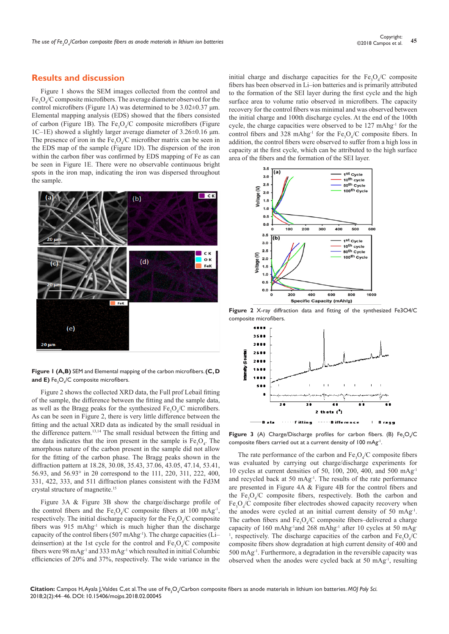# **Results and discussion**

Figure 1 shows the SEM images collected from the control and  $Fe<sub>3</sub>O<sub>4</sub>/C$  composite microfibers. The average diameter observed for the control microfibers (Figure 1A) was determined to be 3.02±0.37 μm. Elemental mapping analysis (EDS) showed that the fibers consisted of carbon (Figure 1B). The  $Fe<sub>3</sub>O<sub>4</sub>/C$  composite microfibers (Figure 1C‒1E) showed a slightly larger average diameter of 3.26±0.16 μm. The presence of iron in the  $Fe<sub>3</sub>O<sub>4</sub>/C$  microfiber matrix can be seen in the EDS map of the sample (Figure 1D). The dispersion of the iron within the carbon fiber was confirmed by EDS mapping of Fe as can be seen in Figure 1E. There were no observable continuous bright spots in the iron map, indicating the iron was dispersed throughout the sample.



**Figure 1 (A,B)** SEM and Elemental mapping of the carbon microfibers. **(C, D and E)**  $\mathsf{Fe}_{\mathsf{3}}\mathsf{O}_{\mathsf{4}}/\mathsf{C}$  composite microfibers.

Figure 2 shows the collected XRD data, the Full prof Lebail fitting of the sample, the difference between the fitting and the sample data, as well as the Bragg peaks for the synthesized  $Fe<sub>3</sub>O<sub>4</sub>/C$  microfibers. As can be seen in Figure 2, there is very little difference between the fitting and the actual XRD data as indicated by the small residual in the difference pattern.13,14 The small residual between the fitting and the data indicates that the iron present in the sample is  $Fe<sub>3</sub>O<sub>4</sub>$ . The amorphous nature of the carbon present in the sample did not allow for the fitting of the carbon phase. The Bragg peaks shown in the diffraction pattern at 18.28, 30.08, 35.43, 37.06, 43.05, 47.14, 53.41, 56.93, and 56.93° in 2θ correspond to the 111, 220, 311, 222, 400, 331, 422, 333, and 511 diffraction planes consistent with the Fd3M crystal structure of magnetite.15

Figure 3A & Figure 3B show the charge/discharge profile of the control fibers and the  $Fe<sub>3</sub>O<sub>4</sub>/C$  composite fibers at 100 mAg<sup>-1</sup>, respectively. The initial discharge capacity for the  $Fe<sub>3</sub>O<sub>4</sub>/C$  composite fibers was 915 mAhg-1 which is much higher than the discharge capacity of the control fibers (507 mAhg<sup>-1</sup>). The charge capacities (Lideinsertion) at the 1st cycle for the control and  $Fe<sub>3</sub>O<sub>4</sub>/C$  composite fibers were 98 mAg-1 and 333 mAg-1 which resulted in initial Columbic efficiencies of 20% and 37%, respectively. The wide variance in the initial charge and discharge capacities for the  $Fe<sub>3</sub>O<sub>4</sub>/C$  composite fibers has been observed in Li-ion batteries and is primarily attributed to the formation of the SEI layer during the first cycle and the high surface area to volume ratio observed in microfibers. The capacity recovery for the control fibers was minimal and was observed between the initial charge and 100th discharge cycles. At the end of the 100th cycle, the charge capacities were observed to be 127 mAhg<sup>-1</sup> for the control fibers and 328 mAhg<sup>-1</sup> for the  $Fe<sub>3</sub>O<sub>4</sub>/C$  composite fibers. In addition, the control fibers were observed to suffer from a high loss in capacity at the first cycle, which can be attributed to the high surface area of the fibers and the formation of the SEI layer.



**Figure 2** X-ray diffraction data and fitting of the synthesized Fe3O4/C composite microfibers.



**Figure 3** (A) Charge/Discharge profiles for carbon fibers. (B)  $Fe<sub>3</sub>O<sub>4</sub>/C$ composite fibers carried out at a current density of 100 mAg-1.

The rate performance of the carbon and  $Fe<sub>3</sub>O<sub>4</sub>/C$  composite fibers was evaluated by carrying out charge/discharge experiments for 10 cycles at current densities of 50, 100, 200, 400, and 500 mAg-1 and recycled back at 50 mAg-1. The results of the rate performance are presented in Figure 4A & Figure 4B for the control fibers and the  $Fe<sub>3</sub>O<sub>4</sub>/C$  composite fibers, respectively. Both the carbon and  $Fe<sub>3</sub>O<sub>4</sub>/C$  composite fiber electrodes showed capacity recovery when the anodes were cycled at an initial current density of 50 mAg-1. The carbon fibers and  $Fe<sub>3</sub>O<sub>4</sub>/C$  composite fibers–delivered a charge capacity of 160 mAhg<sup>-1</sup>and 268 mAhg<sup>-1</sup> after 10 cycles at 50 mAg-<sup>1</sup>, respectively. The discharge capacities of the carbon and  $Fe<sub>3</sub>O<sub>4</sub>/C$ composite fibers show degradation at high current density of 400 and 500 mAg-1. Furthermore, a degradation in the reversible capacity was observed when the anodes were cycled back at 50 mAg-1, resulting